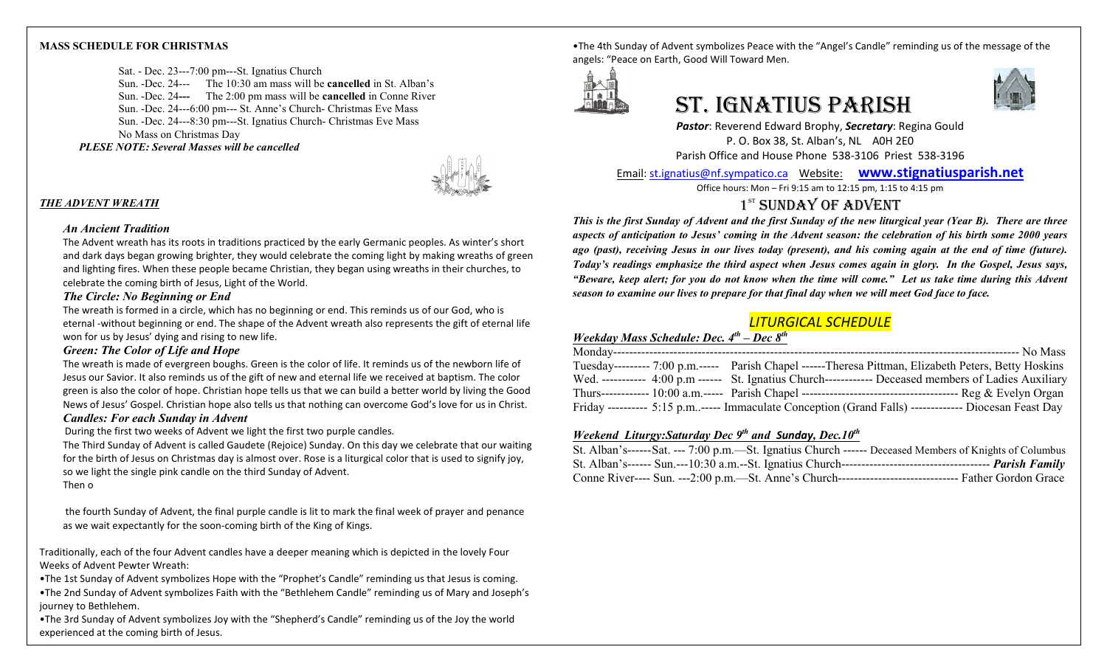## **MASS SCHEDULE FOR CHRISTMAS**

Sat. - Dec. 23---7:00 pm---St. Ignatius Church Sun. -Dec. 24--- The 10:30 am mass will be **cancelled** in St. Alban's Sun. -Dec. 24**---** The 2:00 pm mass will be **cancelled** in Conne River Sun. -Dec. 24---6:00 pm--- St. Anne's Church- Christmas Eve Mass Sun. -Dec. 24---8:30 pm---St. Ignatius Church- Christmas Eve Mass No Mass on Christmas Day *PLESE NOTE: Several Masses will be cancelled* 

## *THE ADVENT WREATH*

## *An Ancient Tradition*

The Advent wreath has its roots in traditions practiced by the early Germanic peoples. As winter's short and dark days began growing brighter, they would celebrate the coming light by making wreaths of green and lighting fires. When these people became Christian, they began using wreaths in their churches, to celebrate the coming birth of Jesus, Light of the World.

## *The Circle: No Beginning or End*

The wreath is formed in a circle, which has no beginning or end. This reminds us of our God, who is eternal -without beginning or end. The shape of the Advent wreath also represents the gift of eternal life won for us by Jesus' dying and rising to new life.

# *Green: The Color of Life and Hope*

The wreath is made of evergreen boughs. Green is the color of life. It reminds us of the newborn life of Jesus our Savior. It also reminds us of the gift of new and eternal life we received at baptism. The color green is also the color of hope. Christian hope tells us that we can build a better world by living the Good News of Jesus' Gospel. Christian hope also tells us that nothing can overcome God's love for us in Christ. *Candles: For each Sunday in Advent*

During the first two weeks of Advent we light the first two purple candles.

The Third Sunday of Advent is called Gaudete (Rejoice) Sunday. On this day we celebrate that our waiting for the birth of Jesus on Christmas day is almost over. Rose is a liturgical color that is used to signify joy, so we light the single pink candle on the third Sunday of Advent.

Then o

the fourth Sunday of Advent, the final purple candle is lit to mark the final week of prayer and penance as we wait expectantly for the soon-coming birth of the King of Kings.

Traditionally, each of the four Advent candles have a deeper meaning which is depicted in the lovely Four Weeks of Advent Pewter Wreath:

•The 1st Sunday of Advent symbolizes Hope with the "Prophet's Candle" reminding us that Jesus is coming. •The 2nd Sunday of Advent symbolizes Faith with the "Bethlehem Candle" reminding us of Mary and Joseph's journey to Bethlehem.

•The 3rd Sunday of Advent symbolizes Joy with the "Shepherd's Candle" reminding us of the Joy the world experienced at the coming birth of Jesus.

•The 4th Sunday of Advent symbolizes Peace with the "Angel's Candle" reminding us of the message of the angels: "Peace on Earth, Good Will Toward Men.



# St. IgnAtIuS PArISh



*Pastor*: Reverend Edward Brophy, *Secretary*: Regina Gould P. O. Box 38, St. Alban's, NL A0H 2E0 Parish Office and House Phone 538-3106 Priest 538-3196

Email[: st.ignatius@nf.sympatico.ca](mailto:st.ignatius@nf.sympatico.ca) Website: **[www.stignatiusparish.net](http://www.stignatiusparish.net/)**

Office hours: Mon – Fri 9:15 am to 12:15 pm, 1:15 to 4:15 pm

# $1<sup>ST</sup>$  SUNDAY OF ADVENT

*This is the first Sunday of Advent and the first Sunday of the new liturgical year (Year B). There are three aspects of anticipation to Jesus' coming in the Advent season: the celebration of his birth some 2000 years ago (past), receiving Jesus in our lives today (present), and his coming again at the end of time (future). Today's readings emphasize the third aspect when Jesus comes again in glory. In the Gospel, Jesus says, "Beware, keep alert; for you do not know when the time will come." Let us take time during this Advent season to examine our lives to prepare for that final day when we will meet God face to face.*

# *LITURGICAL SCHEDULE*

# *Weekday Mass Schedule: Dec. 4th – Dec 8th*

| Tuesday--------- 7:00 p.m.----- Parish Chapel ------Theresa Pittman, Elizabeth Peters, Betty Hoskins  |
|-------------------------------------------------------------------------------------------------------|
| Wed. ----------- 4:00 p.m ------ St. Ignatius Church------------ Deceased members of Ladies Auxiliary |
|                                                                                                       |
| Friday ---------- 5:15 p.m----- Immaculate Conception (Grand Falls) ------------- Diocesan Feast Day  |

# *Weekend Liturgy:Saturday Dec 9th and Sunday, Dec.10th*

| St. Alban's------Sat. --- 7:00 p.m.—St. Ignatius Church ------ Deceased Members of Knights of Columbus    |  |
|-----------------------------------------------------------------------------------------------------------|--|
|                                                                                                           |  |
| Conne River---- Sun. ---2:00 p.m.—St. Anne's Church---------------------------------- Father Gordon Grace |  |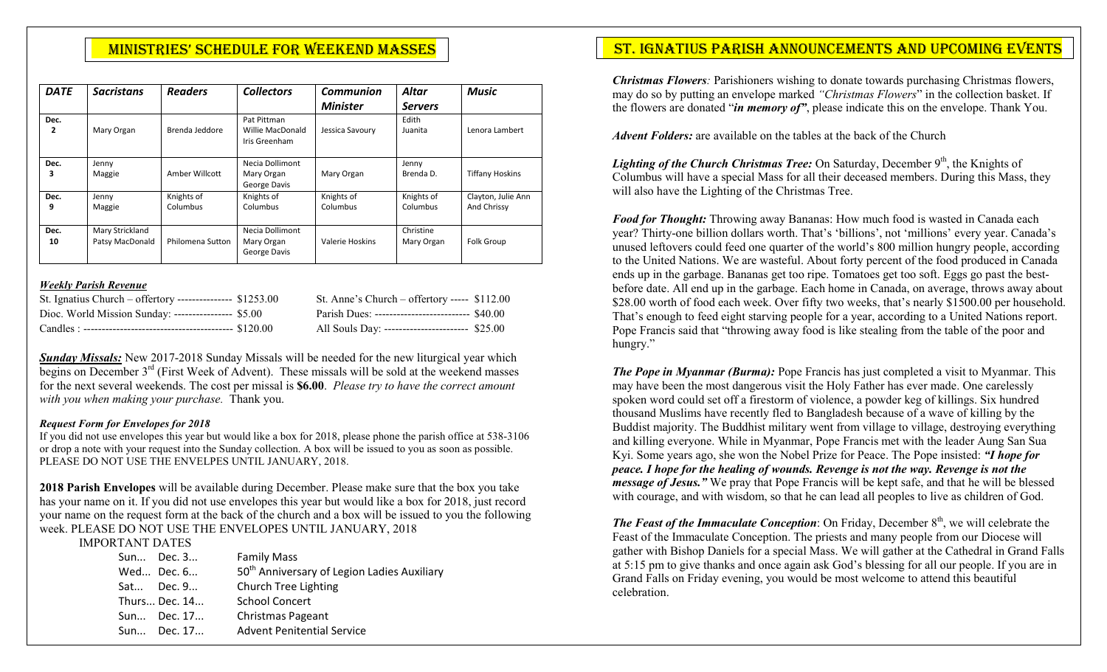| <b>DATE</b> | <b>Sacristans</b>                  | <b>Readers</b>         | <b>Collectors</b>                                | Communion              | Altar                   | <b>Music</b>                      |
|-------------|------------------------------------|------------------------|--------------------------------------------------|------------------------|-------------------------|-----------------------------------|
|             |                                    |                        |                                                  | <b>Minister</b>        | <b>Servers</b>          |                                   |
| Dec.<br>2   | Mary Organ                         | Brenda Jeddore         | Pat Pittman<br>Willie MacDonald<br>Iris Greenham | Jessica Savoury        | Edith<br>Juanita        | Lenora Lambert                    |
| Dec.<br>3   | Jenny<br>Maggie                    | Amber Willcott         | Necia Dollimont<br>Mary Organ<br>George Davis    | Mary Organ             | Jenny<br>Brenda D.      | <b>Tiffany Hoskins</b>            |
| Dec.<br>9   | Jenny<br>Maggie                    | Knights of<br>Columbus | Knights of<br>Columbus                           | Knights of<br>Columbus | Knights of<br>Columbus  | Clayton, Julie Ann<br>And Chrissy |
| Dec.<br>10  | Mary Strickland<br>Patsy MacDonald | Philomena Sutton       | Necia Dollimont<br>Mary Organ<br>George Davis    | <b>Valerie Hoskins</b> | Christine<br>Mary Organ | Folk Group                        |

# *Weekly Parish Revenue*

| St. Ignatius Church – offertory --------------- \$1253.00 | St. Anne's Church – offertory ----- $$112.00$    |  |
|-----------------------------------------------------------|--------------------------------------------------|--|
| Dioc. World Mission Sunday: ---------------- \$5.00       | Parish Dues: --------------------------- \$40.00 |  |
|                                                           | All Souls Day: ------------------------ \$25.00  |  |

*Sunday Missals:* New 2017-2018 Sunday Missals will be needed for the new liturgical year which begins on December  $3<sup>rd</sup>$  (First Week of Advent). These missals will be sold at the weekend masses for the next several weekends. The cost per missal is **\$6.00**. *Please try to have the correct amount with you when making your purchase.* Thank you.

# *Request Form for Envelopes for 2018*

If you did not use envelopes this year but would like a box for 2018, please phone the parish office at 538-3106 or drop a note with your request into the Sunday collection. A box will be issued to you as soon as possible. PLEASE DO NOT USE THE ENVELPES UNTIL JANUARY, 2018.

**2018 Parish Envelopes** will be available during December. Please make sure that the box you take has your name on it. If you did not use envelopes this year but would like a box for 2018, just record your name on the request form at the back of the church and a box will be issued to you the following week. PLEASE DO NOT USE THE ENVELOPES UNTIL JANUARY, 2018

IMPORTANT DATES

| Sun Dec. 3    | <b>Family Mass</b>                                      |
|---------------|---------------------------------------------------------|
| Wed Dec. 6    | 50 <sup>th</sup> Anniversary of Legion Ladies Auxiliary |
| Sat Dec. 9    | Church Tree Lighting                                    |
| Thurs Dec. 14 | <b>School Concert</b>                                   |
| Sun Dec. 17   | Christmas Pageant                                       |
| Sun Dec. 17   | <b>Advent Penitential Service</b>                       |

# MINISTRIES' SCHEDULE FOR WEEKEND MASSES NACH ST. IGNATIUS PARISH ANNOUNCEMENTS AND UPCOMING EVENTS

*Christmas Flowers:* Parishioners wishing to donate towards purchasing Christmas flowers, may do so by putting an envelope marked *"Christmas Flowers*" in the collection basket. If the flowers are donated "*in memory of"*, please indicate this on the envelope. Thank You.

*Advent Folders:* are available on the tables at the back of the Church

*Lighting of the Church Christmas Tree:* On Saturday, December 9<sup>th</sup>, the Knights of Columbus will have a special Mass for all their deceased members. During this Mass, they will also have the Lighting of the Christmas Tree.

*Food for Thought:* Throwing away Bananas: How much food is wasted in Canada each year? Thirty-one billion dollars worth. That's 'billions', not 'millions' every year. Canada's unused leftovers could feed one quarter of the world's 800 million hungry people, according to the United Nations. We are wasteful. About forty percent of the food produced in Canada ends up in the garbage. Bananas get too ripe. Tomatoes get too soft. Eggs go past the bestbefore date. All end up in the garbage. Each home in Canada, on average, throws away about \$28.00 worth of food each week. Over fifty two weeks, that's nearly \$1500.00 per household. That's enough to feed eight starving people for a year, according to a United Nations report. Pope Francis said that "throwing away food is like stealing from the table of the poor and hungry."

*The Pope in Myanmar (Burma):* Pope Francis has just completed a visit to Myanmar. This may have been the most dangerous visit the Holy Father has ever made. One carelessly spoken word could set off a firestorm of violence, a powder keg of killings. Six hundred thousand Muslims have recently fled to Bangladesh because of a wave of killing by the Buddist majority. The Buddhist military went from village to village, destroying everything and killing everyone. While in Myanmar, Pope Francis met with the leader Aung San Sua Kyi. Some years ago, she won the Nobel Prize for Peace. The Pope insisted: *"I hope for peace. I hope for the healing of wounds. Revenge is not the way. Revenge is not the message of Jesus."* We pray that Pope Francis will be kept safe, and that he will be blessed with courage, and with wisdom, so that he can lead all peoples to live as children of God.

*The Feast of the Immaculate Conception:* On Friday, December  $8<sup>th</sup>$ , we will celebrate the Feast of the Immaculate Conception. The priests and many people from our Diocese will gather with Bishop Daniels for a special Mass. We will gather at the Cathedral in Grand Falls at 5:15 pm to give thanks and once again ask God's blessing for all our people. If you are in Grand Falls on Friday evening, you would be most welcome to attend this beautiful celebration.